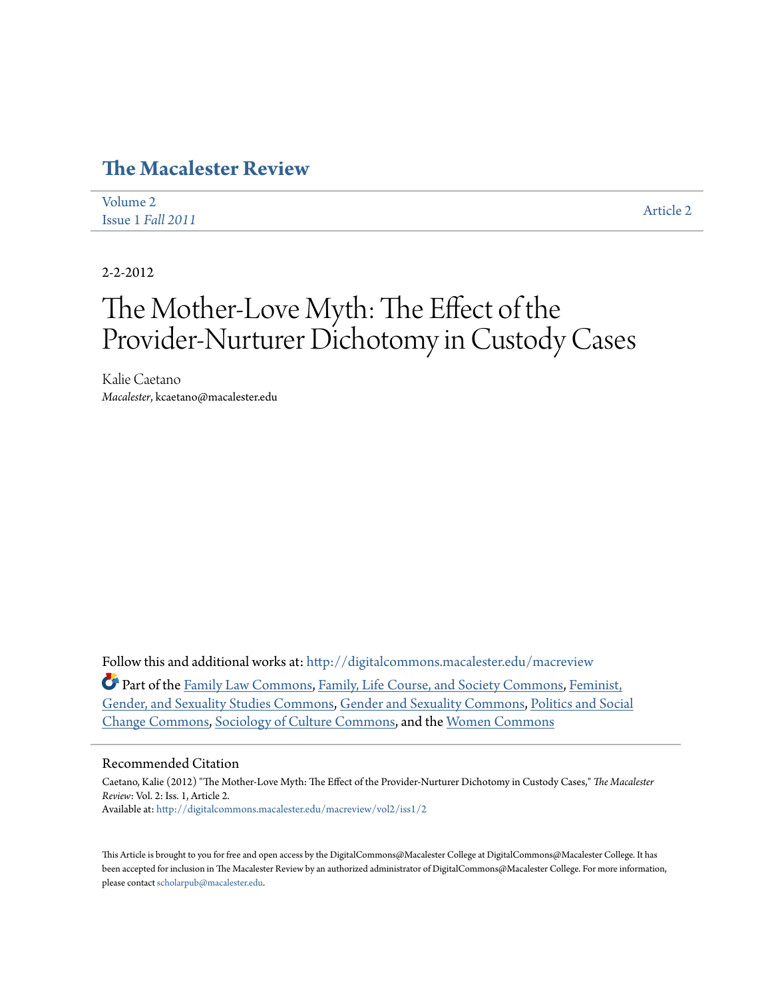## **[The Macalester Review](http://digitalcommons.macalester.edu/macreview?utm_source=digitalcommons.macalester.edu%2Fmacreview%2Fvol2%2Fiss1%2F2&utm_medium=PDF&utm_campaign=PDFCoverPages)**

| Volume 2          | <b>Article 2</b> |
|-------------------|------------------|
| Issue 1 Fall 2011 |                  |

2-2-2012

# The Mother-Love Myth: The Effect of the Provider-Nurturer Dichotomy in Custody Cases

Kalie Caetano *Macalester*, kcaetano@macalester.edu

Follow this and additional works at: [http://digitalcommons.macalester.edu/macreview](http://digitalcommons.macalester.edu/macreview?utm_source=digitalcommons.macalester.edu%2Fmacreview%2Fvol2%2Fiss1%2F2&utm_medium=PDF&utm_campaign=PDFCoverPages)

Part of the [Family Law Commons,](http://network.bepress.com/hgg/discipline/602?utm_source=digitalcommons.macalester.edu%2Fmacreview%2Fvol2%2Fiss1%2F2&utm_medium=PDF&utm_campaign=PDFCoverPages) [Family, Life Course, and Society Commons,](http://network.bepress.com/hgg/discipline/419?utm_source=digitalcommons.macalester.edu%2Fmacreview%2Fvol2%2Fiss1%2F2&utm_medium=PDF&utm_campaign=PDFCoverPages) [Feminist,](http://network.bepress.com/hgg/discipline/559?utm_source=digitalcommons.macalester.edu%2Fmacreview%2Fvol2%2Fiss1%2F2&utm_medium=PDF&utm_campaign=PDFCoverPages) [Gender, and Sexuality Studies Commons,](http://network.bepress.com/hgg/discipline/559?utm_source=digitalcommons.macalester.edu%2Fmacreview%2Fvol2%2Fiss1%2F2&utm_medium=PDF&utm_campaign=PDFCoverPages) [Gender and Sexuality Commons](http://network.bepress.com/hgg/discipline/420?utm_source=digitalcommons.macalester.edu%2Fmacreview%2Fvol2%2Fiss1%2F2&utm_medium=PDF&utm_campaign=PDFCoverPages), [Politics and Social](http://network.bepress.com/hgg/discipline/425?utm_source=digitalcommons.macalester.edu%2Fmacreview%2Fvol2%2Fiss1%2F2&utm_medium=PDF&utm_campaign=PDFCoverPages) [Change Commons,](http://network.bepress.com/hgg/discipline/425?utm_source=digitalcommons.macalester.edu%2Fmacreview%2Fvol2%2Fiss1%2F2&utm_medium=PDF&utm_campaign=PDFCoverPages) [Sociology of Culture Commons,](http://network.bepress.com/hgg/discipline/431?utm_source=digitalcommons.macalester.edu%2Fmacreview%2Fvol2%2Fiss1%2F2&utm_medium=PDF&utm_campaign=PDFCoverPages) and the [Women Commons](http://network.bepress.com/hgg/discipline/888?utm_source=digitalcommons.macalester.edu%2Fmacreview%2Fvol2%2Fiss1%2F2&utm_medium=PDF&utm_campaign=PDFCoverPages)

#### Recommended Citation

Caetano, Kalie (2012) "The Mother-Love Myth: The Effect of the Provider-Nurturer Dichotomy in Custody Cases," *The Macalester Review*: Vol. 2: Iss. 1, Article 2. Available at: [http://digitalcommons.macalester.edu/macreview/vol2/iss1/2](http://digitalcommons.macalester.edu/macreview/vol2/iss1/2?utm_source=digitalcommons.macalester.edu%2Fmacreview%2Fvol2%2Fiss1%2F2&utm_medium=PDF&utm_campaign=PDFCoverPages)

This Article is brought to you for free and open access by the DigitalCommons@Macalester College at DigitalCommons@Macalester College. It has been accepted for inclusion in The Macalester Review by an authorized administrator of DigitalCommons@Macalester College. For more information, please contact [scholarpub@macalester.edu.](mailto:scholarpub@macalester.edu)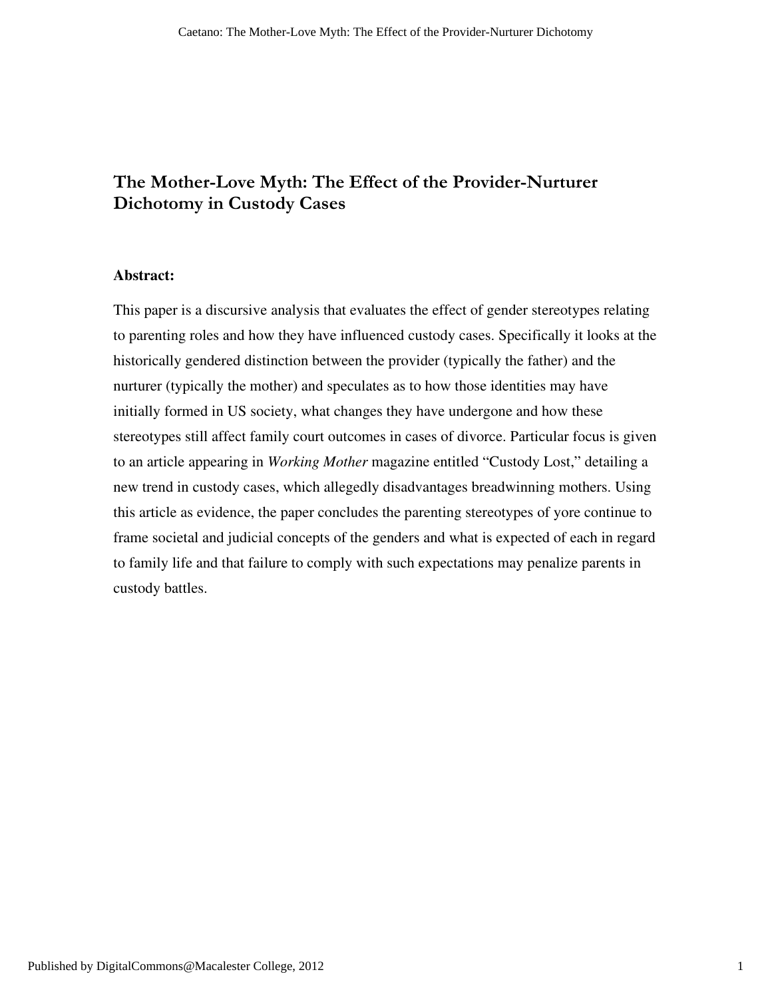## The Mother-Love Myth: The Effect of the Provider-Nurturer Dichotomy in Custody Cases

## **Abstract:**

This paper is a discursive analysis that evaluates the effect of gender stereotypes relating to parenting roles and how they have influenced custody cases. Specifically it looks at the historically gendered distinction between the provider (typically the father) and the nurturer (typically the mother) and speculates as to how those identities may have initially formed in US society, what changes they have undergone and how these stereotypes still affect family court outcomes in cases of divorce. Particular focus is given to an article appearing in *Working Mother* magazine entitled "Custody Lost," detailing a new trend in custody cases, which allegedly disadvantages breadwinning mothers. Using this article as evidence, the paper concludes the parenting stereotypes of yore continue to frame societal and judicial concepts of the genders and what is expected of each in regard to family life and that failure to comply with such expectations may penalize parents in custody battles.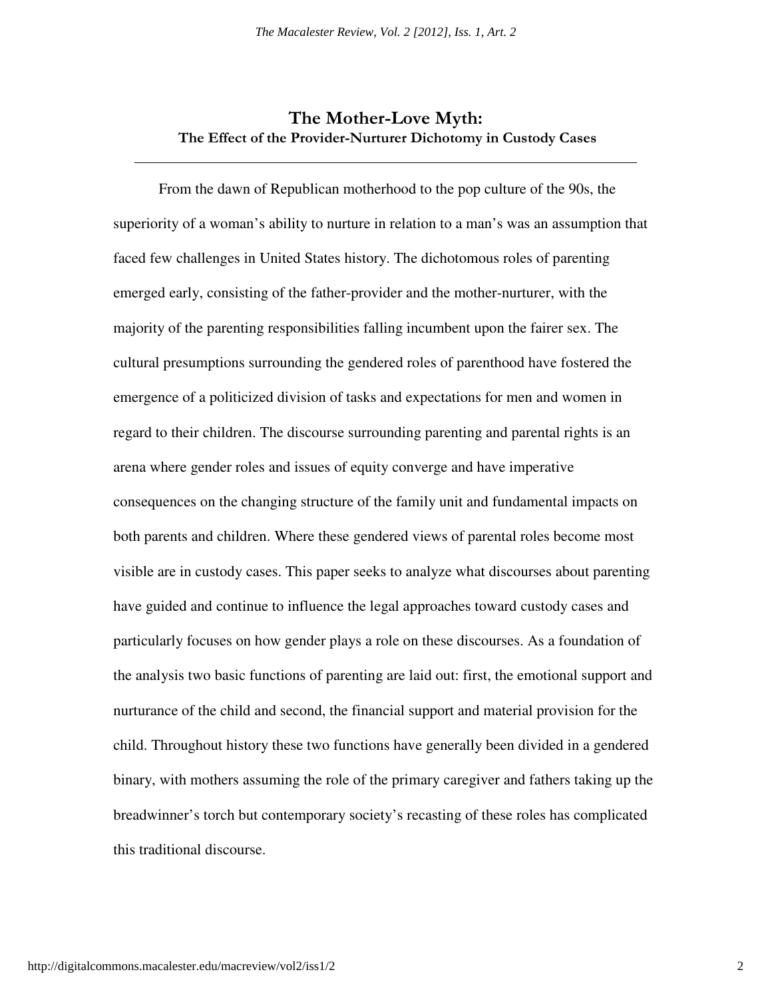## The Mother-Love Myth: The Effect of the Provider-Nurturer Dichotomy in Custody Cases

 From the dawn of Republican motherhood to the pop culture of the 90s, the superiority of a woman's ability to nurture in relation to a man's was an assumption that faced few challenges in United States history. The dichotomous roles of parenting emerged early, consisting of the father-provider and the mother-nurturer, with the majority of the parenting responsibilities falling incumbent upon the fairer sex. The cultural presumptions surrounding the gendered roles of parenthood have fostered the emergence of a politicized division of tasks and expectations for men and women in regard to their children. The discourse surrounding parenting and parental rights is an arena where gender roles and issues of equity converge and have imperative consequences on the changing structure of the family unit and fundamental impacts on both parents and children. Where these gendered views of parental roles become most visible are in custody cases. This paper seeks to analyze what discourses about parenting have guided and continue to influence the legal approaches toward custody cases and particularly focuses on how gender plays a role on these discourses. As a foundation of the analysis two basic functions of parenting are laid out: first, the emotional support and nurturance of the child and second, the financial support and material provision for the child. Throughout history these two functions have generally been divided in a gendered binary, with mothers assuming the role of the primary caregiver and fathers taking up the breadwinner's torch but contemporary society's recasting of these roles has complicated this traditional discourse.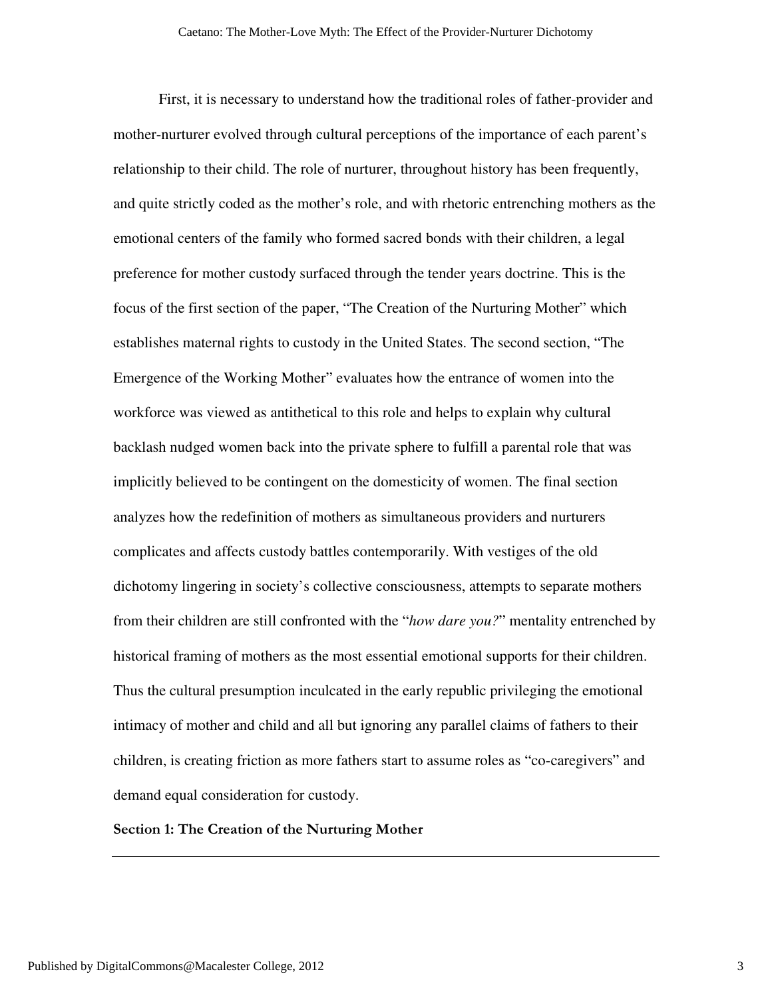First, it is necessary to understand how the traditional roles of father-provider and mother-nurturer evolved through cultural perceptions of the importance of each parent's relationship to their child. The role of nurturer, throughout history has been frequently, and quite strictly coded as the mother's role, and with rhetoric entrenching mothers as the emotional centers of the family who formed sacred bonds with their children, a legal preference for mother custody surfaced through the tender years doctrine. This is the focus of the first section of the paper, "The Creation of the Nurturing Mother" which establishes maternal rights to custody in the United States. The second section, "The Emergence of the Working Mother" evaluates how the entrance of women into the workforce was viewed as antithetical to this role and helps to explain why cultural backlash nudged women back into the private sphere to fulfill a parental role that was implicitly believed to be contingent on the domesticity of women. The final section analyzes how the redefinition of mothers as simultaneous providers and nurturers complicates and affects custody battles contemporarily. With vestiges of the old dichotomy lingering in society's collective consciousness, attempts to separate mothers from their children are still confronted with the "*how dare you?*" mentality entrenched by historical framing of mothers as the most essential emotional supports for their children. Thus the cultural presumption inculcated in the early republic privileging the emotional intimacy of mother and child and all but ignoring any parallel claims of fathers to their children, is creating friction as more fathers start to assume roles as "co-caregivers" and demand equal consideration for custody.

## Section 1: The Creation of the Nurturing Mother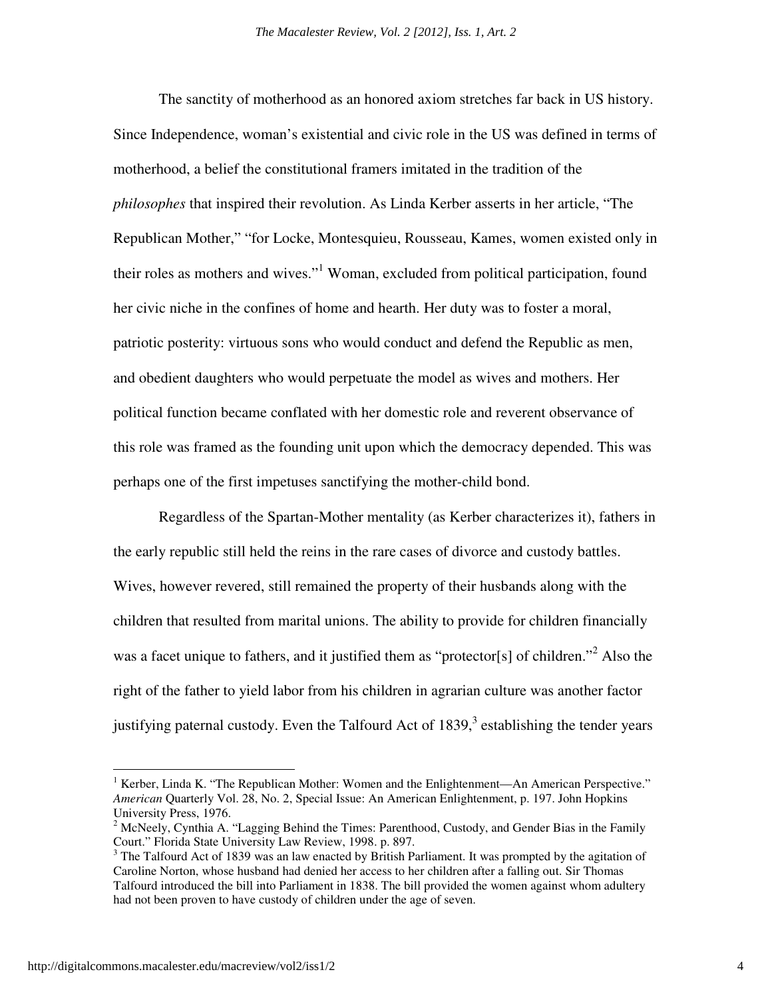The sanctity of motherhood as an honored axiom stretches far back in US history. Since Independence, woman's existential and civic role in the US was defined in terms of motherhood, a belief the constitutional framers imitated in the tradition of the *philosophes* that inspired their revolution. As Linda Kerber asserts in her article, "The Republican Mother," "for Locke, Montesquieu, Rousseau, Kames, women existed only in their roles as mothers and wives."<sup>1</sup> Woman, excluded from political participation, found her civic niche in the confines of home and hearth. Her duty was to foster a moral, patriotic posterity: virtuous sons who would conduct and defend the Republic as men, and obedient daughters who would perpetuate the model as wives and mothers. Her political function became conflated with her domestic role and reverent observance of this role was framed as the founding unit upon which the democracy depended. This was perhaps one of the first impetuses sanctifying the mother-child bond.

 Regardless of the Spartan-Mother mentality (as Kerber characterizes it), fathers in the early republic still held the reins in the rare cases of divorce and custody battles. Wives, however revered, still remained the property of their husbands along with the children that resulted from marital unions. The ability to provide for children financially was a facet unique to fathers, and it justified them as "protector[s] of children."<sup>2</sup> Also the right of the father to yield labor from his children in agrarian culture was another factor justifying paternal custody. Even the Talfourd Act of  $1839$ ,  $3$  establishing the tender years

<sup>&</sup>lt;sup>1</sup> Kerber, Linda K. "The Republican Mother: Women and the Enlightenment—An American Perspective." *American* Quarterly Vol. 28, No. 2, Special Issue: An American Enlightenment, p. 197. John Hopkins University Press, 1976.

<sup>&</sup>lt;sup>2</sup> McNeely, Cynthia A. "Lagging Behind the Times: Parenthood, Custody, and Gender Bias in the Family Court." Florida State University Law Review, 1998. p. 897.

 $3$  The Talfourd Act of 1839 was an law enacted by British Parliament. It was prompted by the agitation of Caroline Norton, whose husband had denied her access to her children after a falling out. Sir Thomas Talfourd introduced the bill into Parliament in 1838. The bill provided the women against whom adultery had not been proven to have custody of children under the age of seven.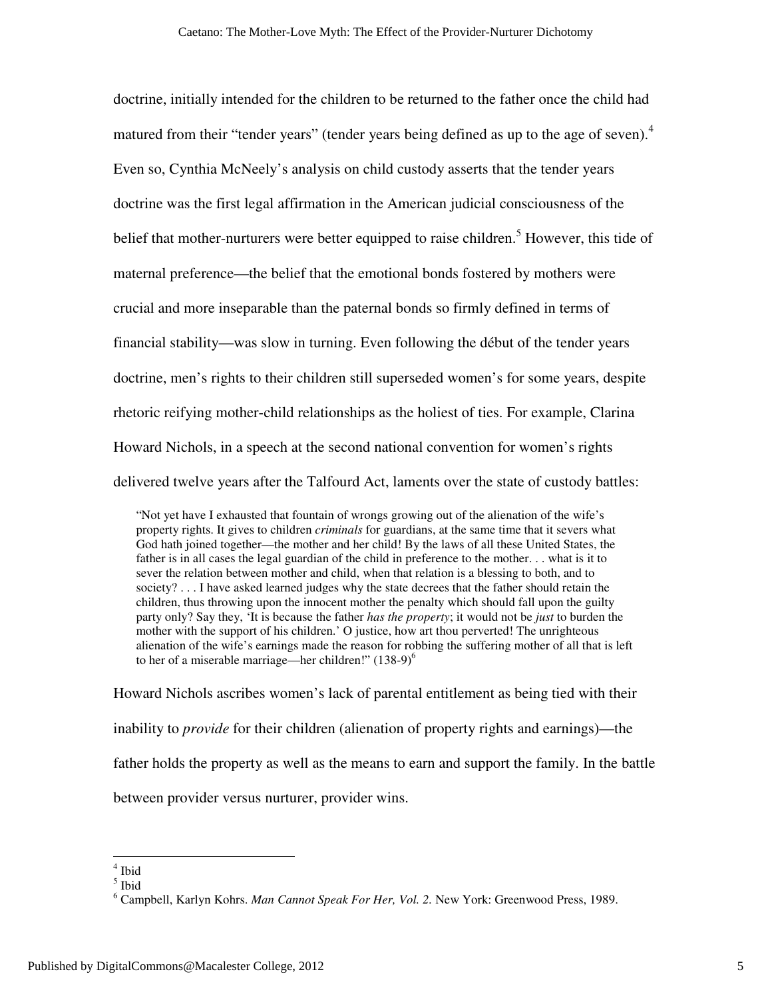doctrine, initially intended for the children to be returned to the father once the child had matured from their "tender years" (tender years being defined as up to the age of seven).<sup>4</sup> Even so, Cynthia McNeely's analysis on child custody asserts that the tender years doctrine was the first legal affirmation in the American judicial consciousness of the belief that mother-nurturers were better equipped to raise children.<sup>5</sup> However, this tide of maternal preference—the belief that the emotional bonds fostered by mothers were crucial and more inseparable than the paternal bonds so firmly defined in terms of financial stability—was slow in turning. Even following the début of the tender years doctrine, men's rights to their children still superseded women's for some years, despite rhetoric reifying mother-child relationships as the holiest of ties. For example, Clarina Howard Nichols, in a speech at the second national convention for women's rights delivered twelve years after the Talfourd Act, laments over the state of custody battles:

"Not yet have I exhausted that fountain of wrongs growing out of the alienation of the wife's property rights. It gives to children *criminals* for guardians, at the same time that it severs what God hath joined together—the mother and her child! By the laws of all these United States, the father is in all cases the legal guardian of the child in preference to the mother. . . what is it to sever the relation between mother and child, when that relation is a blessing to both, and to society? . . . I have asked learned judges why the state decrees that the father should retain the children, thus throwing upon the innocent mother the penalty which should fall upon the guilty party only? Say they, 'It is because the father *has the property*; it would not be *just* to burden the mother with the support of his children.' O justice, how art thou perverted! The unrighteous alienation of the wife's earnings made the reason for robbing the suffering mother of all that is left to her of a miserable marriage—her children!"  $(138-9)^6$ 

Howard Nichols ascribes women's lack of parental entitlement as being tied with their inability to *provide* for their children (alienation of property rights and earnings)—the father holds the property as well as the means to earn and support the family. In the battle between provider versus nurturer, provider wins.

 4 Ibid

<sup>5</sup> Ibid

<sup>6</sup> Campbell, Karlyn Kohrs. *Man Cannot Speak For Her, Vol. 2.* New York: Greenwood Press, 1989.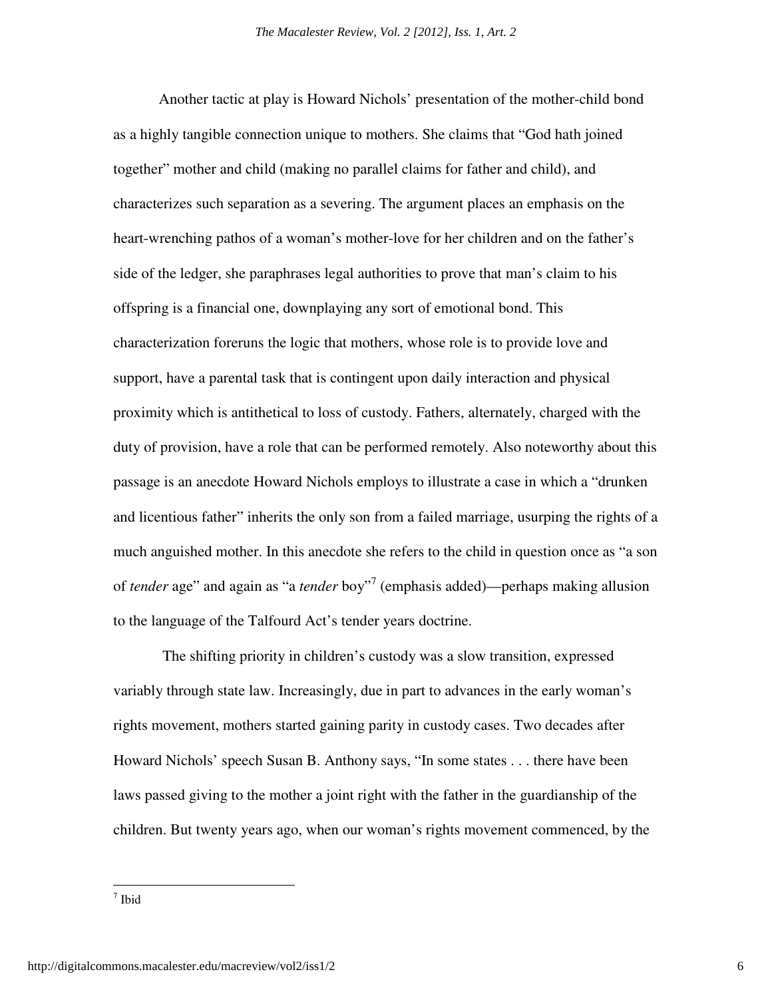Another tactic at play is Howard Nichols' presentation of the mother-child bond as a highly tangible connection unique to mothers. She claims that "God hath joined together" mother and child (making no parallel claims for father and child), and characterizes such separation as a severing. The argument places an emphasis on the heart-wrenching pathos of a woman's mother-love for her children and on the father's side of the ledger, she paraphrases legal authorities to prove that man's claim to his offspring is a financial one, downplaying any sort of emotional bond. This characterization foreruns the logic that mothers, whose role is to provide love and support, have a parental task that is contingent upon daily interaction and physical proximity which is antithetical to loss of custody. Fathers, alternately, charged with the duty of provision, have a role that can be performed remotely. Also noteworthy about this passage is an anecdote Howard Nichols employs to illustrate a case in which a "drunken and licentious father" inherits the only son from a failed marriage, usurping the rights of a much anguished mother. In this anecdote she refers to the child in question once as "a son of *tender* age" and again as "a *tender* boy"<sup>7</sup> (emphasis added)—perhaps making allusion to the language of the Talfourd Act's tender years doctrine.

 The shifting priority in children's custody was a slow transition, expressed variably through state law. Increasingly, due in part to advances in the early woman's rights movement, mothers started gaining parity in custody cases. Two decades after Howard Nichols' speech Susan B. Anthony says, "In some states . . . there have been laws passed giving to the mother a joint right with the father in the guardianship of the children. But twenty years ago, when our woman's rights movement commenced, by the

<u>.</u>

<sup>7</sup> Ibid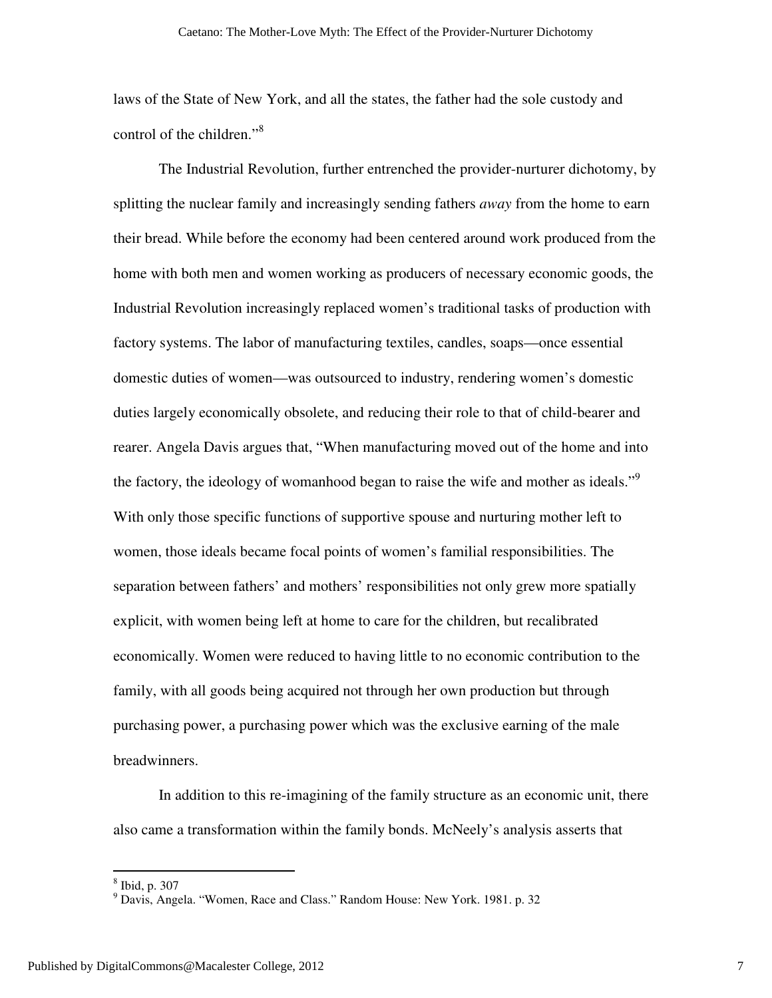laws of the State of New York, and all the states, the father had the sole custody and control of the children."<sup>8</sup>

The Industrial Revolution, further entrenched the provider-nurturer dichotomy, by splitting the nuclear family and increasingly sending fathers *away* from the home to earn their bread. While before the economy had been centered around work produced from the home with both men and women working as producers of necessary economic goods, the Industrial Revolution increasingly replaced women's traditional tasks of production with factory systems. The labor of manufacturing textiles, candles, soaps—once essential domestic duties of women—was outsourced to industry, rendering women's domestic duties largely economically obsolete, and reducing their role to that of child-bearer and rearer. Angela Davis argues that, "When manufacturing moved out of the home and into the factory, the ideology of womanhood began to raise the wife and mother as ideals."<sup>9</sup> With only those specific functions of supportive spouse and nurturing mother left to women, those ideals became focal points of women's familial responsibilities. The separation between fathers' and mothers' responsibilities not only grew more spatially explicit, with women being left at home to care for the children, but recalibrated economically. Women were reduced to having little to no economic contribution to the family, with all goods being acquired not through her own production but through purchasing power, a purchasing power which was the exclusive earning of the male breadwinners.

In addition to this re-imagining of the family structure as an economic unit, there also came a transformation within the family bonds. McNeely's analysis asserts that

 8 Ibid, p. 307

<sup>9</sup> Davis, Angela. "Women, Race and Class." Random House: New York. 1981. p. 32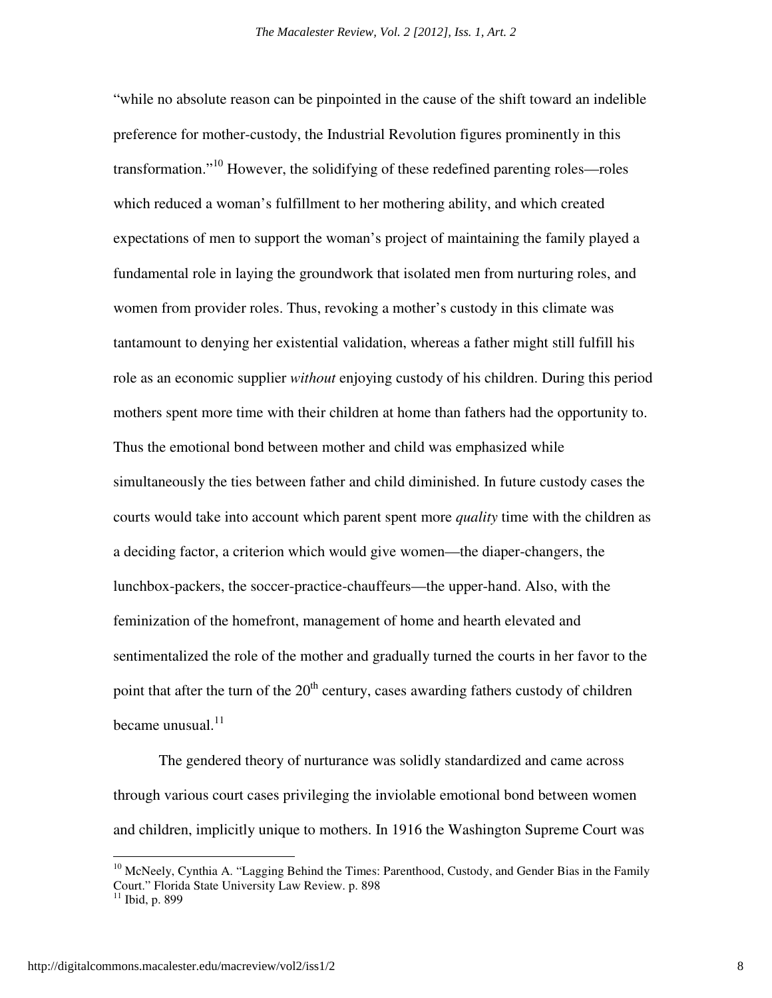"while no absolute reason can be pinpointed in the cause of the shift toward an indelible preference for mother-custody, the Industrial Revolution figures prominently in this transformation.<sup>"10</sup> However, the solidifying of these redefined parenting roles—roles which reduced a woman's fulfillment to her mothering ability, and which created expectations of men to support the woman's project of maintaining the family played a fundamental role in laying the groundwork that isolated men from nurturing roles, and women from provider roles. Thus, revoking a mother's custody in this climate was tantamount to denying her existential validation, whereas a father might still fulfill his role as an economic supplier *without* enjoying custody of his children. During this period mothers spent more time with their children at home than fathers had the opportunity to. Thus the emotional bond between mother and child was emphasized while simultaneously the ties between father and child diminished. In future custody cases the courts would take into account which parent spent more *quality* time with the children as a deciding factor, a criterion which would give women—the diaper-changers, the lunchbox-packers, the soccer-practice-chauffeurs—the upper-hand. Also, with the feminization of the homefront, management of home and hearth elevated and sentimentalized the role of the mother and gradually turned the courts in her favor to the point that after the turn of the  $20<sup>th</sup>$  century, cases awarding fathers custody of children became unusual. $^{11}$ 

The gendered theory of nurturance was solidly standardized and came across through various court cases privileging the inviolable emotional bond between women and children, implicitly unique to mothers. In 1916 the Washington Supreme Court was

<u>.</u>

 $10$  McNeely, Cynthia A. "Lagging Behind the Times: Parenthood, Custody, and Gender Bias in the Family Court." Florida State University Law Review. p. 898  $11$  Ibid, p. 899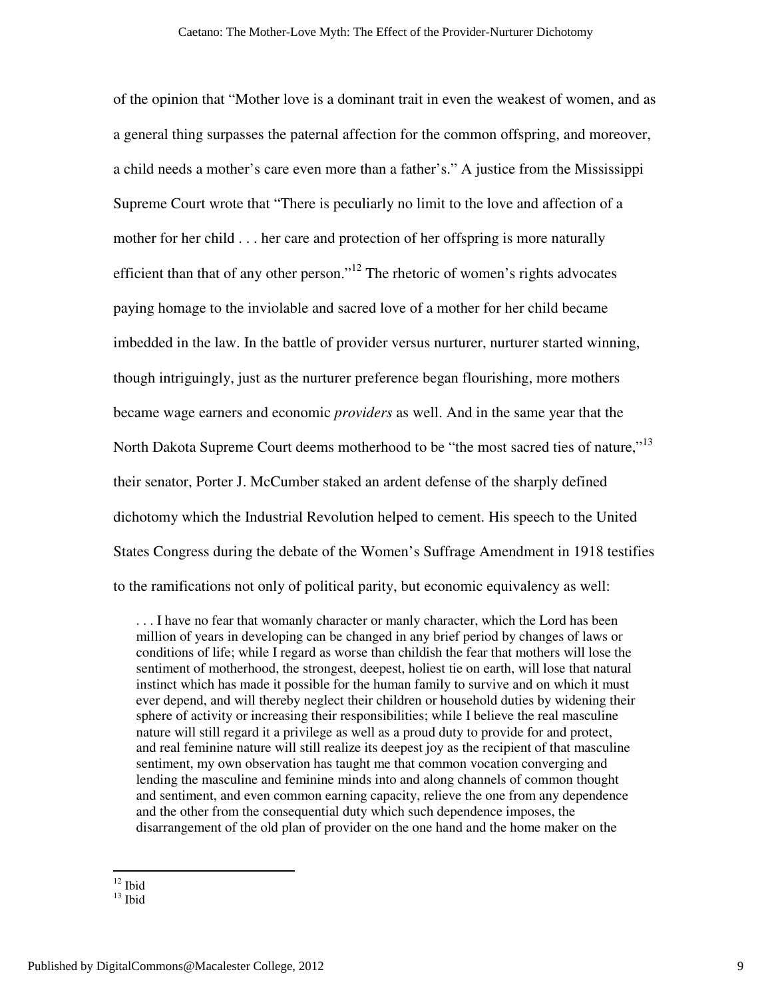of the opinion that "Mother love is a dominant trait in even the weakest of women, and as a general thing surpasses the paternal affection for the common offspring, and moreover, a child needs a mother's care even more than a father's." A justice from the Mississippi Supreme Court wrote that "There is peculiarly no limit to the love and affection of a mother for her child . . . her care and protection of her offspring is more naturally efficient than that of any other person."<sup>12</sup> The rhetoric of women's rights advocates paying homage to the inviolable and sacred love of a mother for her child became imbedded in the law. In the battle of provider versus nurturer, nurturer started winning, though intriguingly, just as the nurturer preference began flourishing, more mothers became wage earners and economic *providers* as well. And in the same year that the North Dakota Supreme Court deems motherhood to be "the most sacred ties of nature,"<sup>13</sup> their senator, Porter J. McCumber staked an ardent defense of the sharply defined dichotomy which the Industrial Revolution helped to cement. His speech to the United States Congress during the debate of the Women's Suffrage Amendment in 1918 testifies to the ramifications not only of political parity, but economic equivalency as well:

. . . I have no fear that womanly character or manly character, which the Lord has been million of years in developing can be changed in any brief period by changes of laws or conditions of life; while I regard as worse than childish the fear that mothers will lose the sentiment of motherhood, the strongest, deepest, holiest tie on earth, will lose that natural instinct which has made it possible for the human family to survive and on which it must ever depend, and will thereby neglect their children or household duties by widening their sphere of activity or increasing their responsibilities; while I believe the real masculine nature will still regard it a privilege as well as a proud duty to provide for and protect, and real feminine nature will still realize its deepest joy as the recipient of that masculine sentiment, my own observation has taught me that common vocation converging and lending the masculine and feminine minds into and along channels of common thought and sentiment, and even common earning capacity, relieve the one from any dependence and the other from the consequential duty which such dependence imposes, the disarrangement of the old plan of provider on the one hand and the home maker on the

 $12$  Ibid

 $13$  Ibid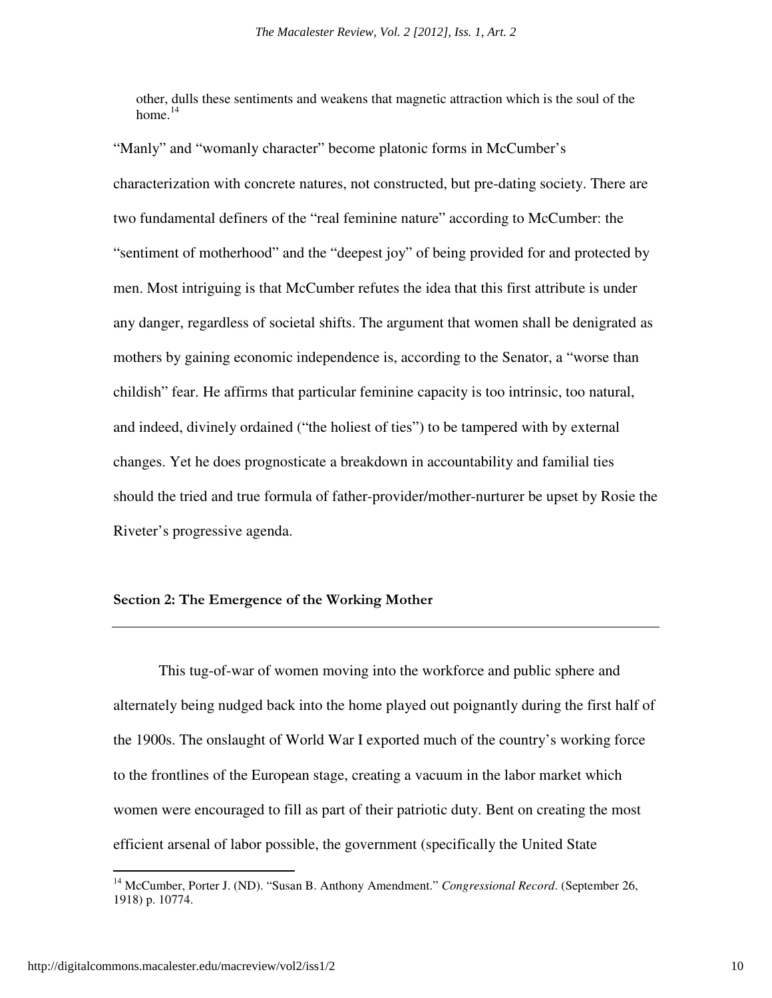other, dulls these sentiments and weakens that magnetic attraction which is the soul of the home. $14$ 

"Manly" and "womanly character" become platonic forms in McCumber's characterization with concrete natures, not constructed, but pre-dating society. There are two fundamental definers of the "real feminine nature" according to McCumber: the "sentiment of motherhood" and the "deepest joy" of being provided for and protected by men. Most intriguing is that McCumber refutes the idea that this first attribute is under any danger, regardless of societal shifts. The argument that women shall be denigrated as mothers by gaining economic independence is, according to the Senator, a "worse than childish" fear. He affirms that particular feminine capacity is too intrinsic, too natural, and indeed, divinely ordained ("the holiest of ties") to be tampered with by external changes. Yet he does prognosticate a breakdown in accountability and familial ties should the tried and true formula of father-provider/mother-nurturer be upset by Rosie the Riveter's progressive agenda.

#### Section 2: The Emergence of the Working Mother

This tug-of-war of women moving into the workforce and public sphere and alternately being nudged back into the home played out poignantly during the first half of the 1900s. The onslaught of World War I exported much of the country's working force to the frontlines of the European stage, creating a vacuum in the labor market which women were encouraged to fill as part of their patriotic duty. Bent on creating the most efficient arsenal of labor possible, the government (specifically the United State

-

<sup>&</sup>lt;sup>14</sup> McCumber, Porter J. (ND). "Susan B. Anthony Amendment." *Congressional Record*. (September 26, 1918) p. 10774.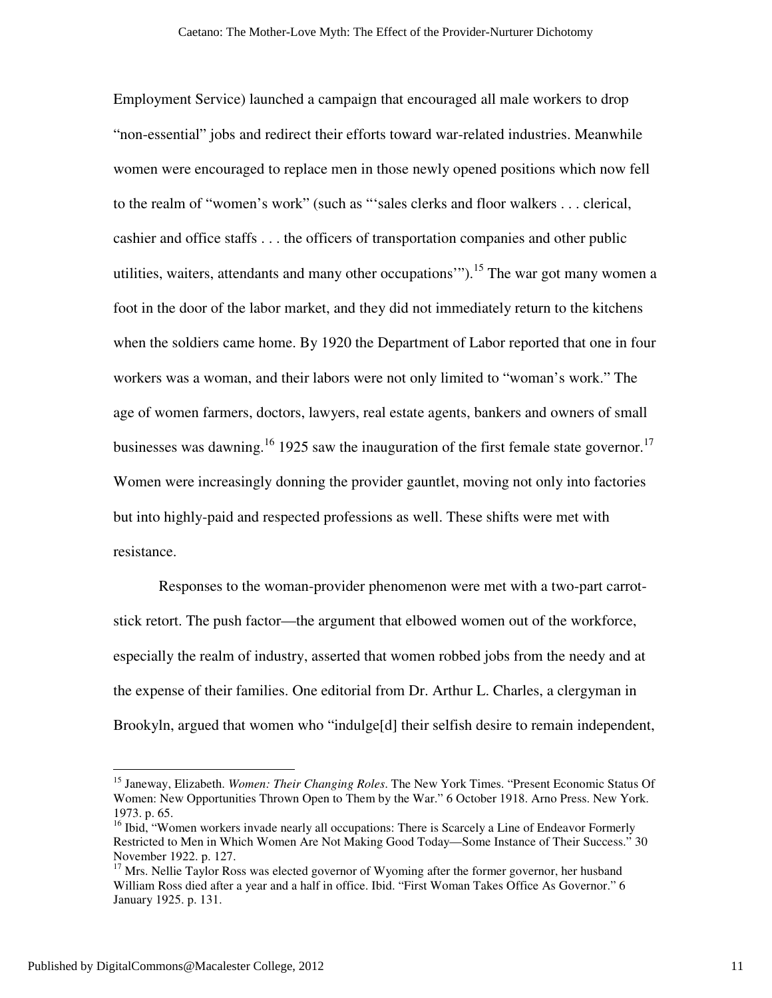Employment Service) launched a campaign that encouraged all male workers to drop "non-essential" jobs and redirect their efforts toward war-related industries. Meanwhile women were encouraged to replace men in those newly opened positions which now fell to the realm of "women's work" (such as "'sales clerks and floor walkers . . . clerical, cashier and office staffs . . . the officers of transportation companies and other public utilities, waiters, attendants and many other occupations").<sup>15</sup> The war got many women a foot in the door of the labor market, and they did not immediately return to the kitchens when the soldiers came home. By 1920 the Department of Labor reported that one in four workers was a woman, and their labors were not only limited to "woman's work." The age of women farmers, doctors, lawyers, real estate agents, bankers and owners of small businesses was dawning.<sup>16</sup> 1925 saw the inauguration of the first female state governor.<sup>17</sup> Women were increasingly donning the provider gauntlet, moving not only into factories but into highly-paid and respected professions as well. These shifts were met with resistance.

 Responses to the woman-provider phenomenon were met with a two-part carrotstick retort. The push factor—the argument that elbowed women out of the workforce, especially the realm of industry, asserted that women robbed jobs from the needy and at the expense of their families. One editorial from Dr. Arthur L. Charles, a clergyman in Brookyln, argued that women who "indulge[d] their selfish desire to remain independent,

<sup>15</sup> Janeway, Elizabeth. *Women: Their Changing Roles*. The New York Times. "Present Economic Status Of Women: New Opportunities Thrown Open to Them by the War." 6 October 1918. Arno Press. New York. 1973. p. 65.

<sup>&</sup>lt;sup>16</sup> Ibid, "Women workers invade nearly all occupations: There is Scarcely a Line of Endeavor Formerly Restricted to Men in Which Women Are Not Making Good Today—Some Instance of Their Success." 30 November 1922. p. 127.

 $17$  Mrs. Nellie Taylor Ross was elected governor of Wyoming after the former governor, her husband William Ross died after a year and a half in office. Ibid. "First Woman Takes Office As Governor." 6 January 1925. p. 131.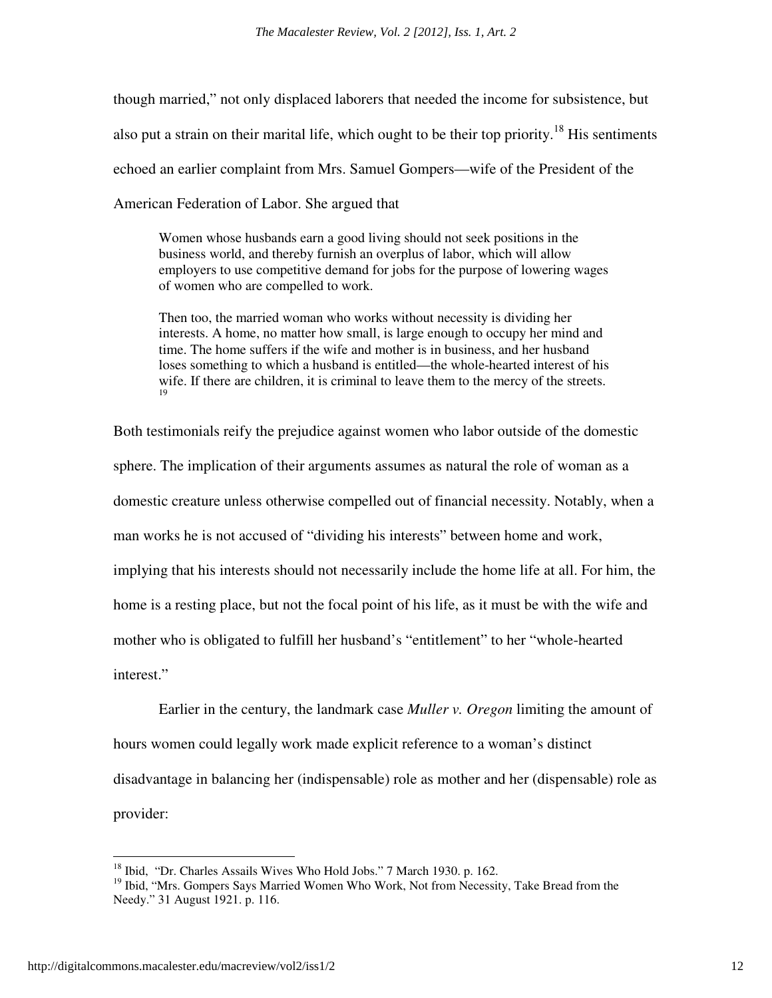though married," not only displaced laborers that needed the income for subsistence, but also put a strain on their marital life, which ought to be their top priority.<sup>18</sup> His sentiments echoed an earlier complaint from Mrs. Samuel Gompers—wife of the President of the American Federation of Labor. She argued that

Women whose husbands earn a good living should not seek positions in the business world, and thereby furnish an overplus of labor, which will allow employers to use competitive demand for jobs for the purpose of lowering wages of women who are compelled to work.

Then too, the married woman who works without necessity is dividing her interests. A home, no matter how small, is large enough to occupy her mind and time. The home suffers if the wife and mother is in business, and her husband loses something to which a husband is entitled—the whole-hearted interest of his wife. If there are children, it is criminal to leave them to the mercy of the streets. 19

Both testimonials reify the prejudice against women who labor outside of the domestic sphere. The implication of their arguments assumes as natural the role of woman as a domestic creature unless otherwise compelled out of financial necessity. Notably, when a man works he is not accused of "dividing his interests" between home and work, implying that his interests should not necessarily include the home life at all. For him, the home is a resting place, but not the focal point of his life, as it must be with the wife and mother who is obligated to fulfill her husband's "entitlement" to her "whole-hearted interest."

 Earlier in the century, the landmark case *Muller v. Oregon* limiting the amount of hours women could legally work made explicit reference to a woman's distinct disadvantage in balancing her (indispensable) role as mother and her (dispensable) role as provider:

<u>.</u>

<sup>&</sup>lt;sup>18</sup> Ibid, "Dr. Charles Assails Wives Who Hold Jobs." 7 March 1930. p. 162.

<sup>&</sup>lt;sup>19</sup> Ibid, "Mrs. Gompers Says Married Women Who Work, Not from Necessity, Take Bread from the Needy." 31 August 1921. p. 116.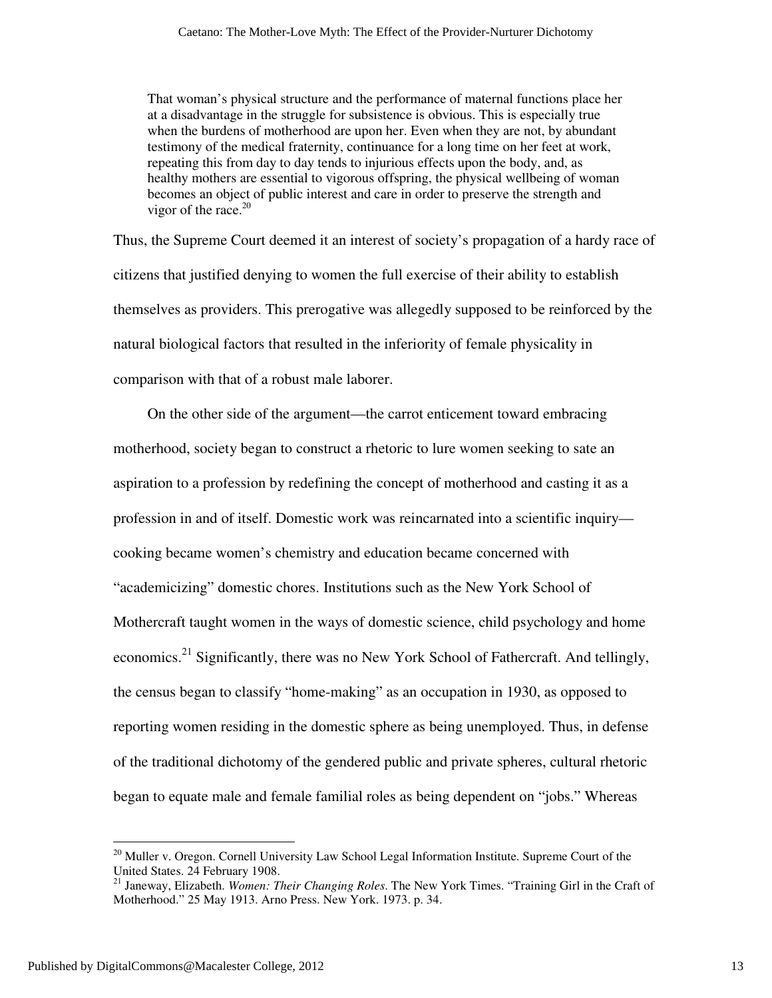That woman's physical structure and the performance of maternal functions place her at a disadvantage in the struggle for subsistence is obvious. This is especially true when the burdens of motherhood are upon her. Even when they are not, by abundant testimony of the medical fraternity, continuance for a long time on her feet at work, repeating this from day to day tends to injurious effects upon the body, and, as healthy mothers are essential to vigorous offspring, the physical wellbeing of woman becomes an object of public interest and care in order to preserve the strength and vigor of the race. $20$ 

Thus, the Supreme Court deemed it an interest of society's propagation of a hardy race of citizens that justified denying to women the full exercise of their ability to establish themselves as providers. This prerogative was allegedly supposed to be reinforced by the natural biological factors that resulted in the inferiority of female physicality in comparison with that of a robust male laborer.

On the other side of the argument—the carrot enticement toward embracing motherhood, society began to construct a rhetoric to lure women seeking to sate an aspiration to a profession by redefining the concept of motherhood and casting it as a profession in and of itself. Domestic work was reincarnated into a scientific inquiry cooking became women's chemistry and education became concerned with "academicizing" domestic chores. Institutions such as the New York School of Mothercraft taught women in the ways of domestic science, child psychology and home economics.<sup>21</sup> Significantly, there was no New York School of Fathercraft. And tellingly, the census began to classify "home-making" as an occupation in 1930, as opposed to reporting women residing in the domestic sphere as being unemployed. Thus, in defense of the traditional dichotomy of the gendered public and private spheres, cultural rhetoric began to equate male and female familial roles as being dependent on "jobs." Whereas

<sup>&</sup>lt;sup>20</sup> Muller v. Oregon. Cornell University Law School Legal Information Institute. Supreme Court of the United States. 24 February 1908.

<sup>21</sup> Janeway, Elizabeth. *Women: Their Changing Roles*. The New York Times. "Training Girl in the Craft of Motherhood." 25 May 1913. Arno Press. New York. 1973. p. 34.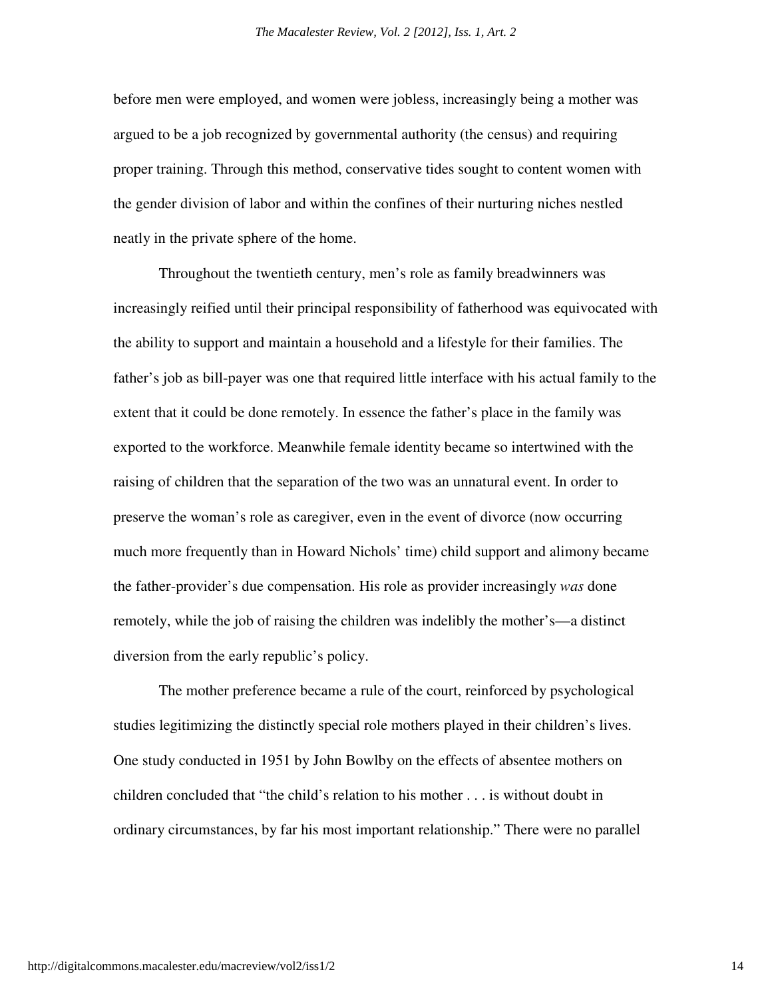before men were employed, and women were jobless, increasingly being a mother was argued to be a job recognized by governmental authority (the census) and requiring proper training. Through this method, conservative tides sought to content women with the gender division of labor and within the confines of their nurturing niches nestled neatly in the private sphere of the home.

Throughout the twentieth century, men's role as family breadwinners was increasingly reified until their principal responsibility of fatherhood was equivocated with the ability to support and maintain a household and a lifestyle for their families. The father's job as bill-payer was one that required little interface with his actual family to the extent that it could be done remotely. In essence the father's place in the family was exported to the workforce. Meanwhile female identity became so intertwined with the raising of children that the separation of the two was an unnatural event. In order to preserve the woman's role as caregiver, even in the event of divorce (now occurring much more frequently than in Howard Nichols' time) child support and alimony became the father-provider's due compensation. His role as provider increasingly *was* done remotely, while the job of raising the children was indelibly the mother's—a distinct diversion from the early republic's policy.

 The mother preference became a rule of the court, reinforced by psychological studies legitimizing the distinctly special role mothers played in their children's lives. One study conducted in 1951 by John Bowlby on the effects of absentee mothers on children concluded that "the child's relation to his mother . . . is without doubt in ordinary circumstances, by far his most important relationship." There were no parallel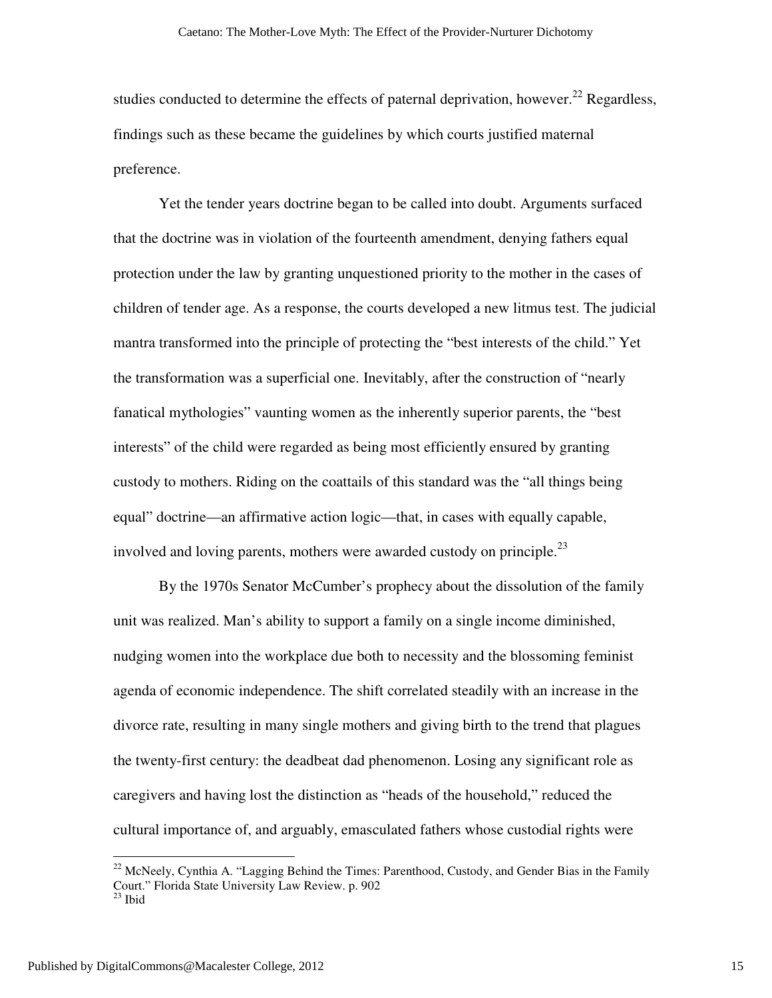studies conducted to determine the effects of paternal deprivation, however.<sup>22</sup> Regardless, findings such as these became the guidelines by which courts justified maternal preference.

Yet the tender years doctrine began to be called into doubt. Arguments surfaced that the doctrine was in violation of the fourteenth amendment, denying fathers equal protection under the law by granting unquestioned priority to the mother in the cases of children of tender age. As a response, the courts developed a new litmus test. The judicial mantra transformed into the principle of protecting the "best interests of the child." Yet the transformation was a superficial one. Inevitably, after the construction of "nearly fanatical mythologies" vaunting women as the inherently superior parents, the "best interests" of the child were regarded as being most efficiently ensured by granting custody to mothers. Riding on the coattails of this standard was the "all things being equal" doctrine—an affirmative action logic—that, in cases with equally capable, involved and loving parents, mothers were awarded custody on principle.<sup>23</sup>

 By the 1970s Senator McCumber's prophecy about the dissolution of the family unit was realized. Man's ability to support a family on a single income diminished, nudging women into the workplace due both to necessity and the blossoming feminist agenda of economic independence. The shift correlated steadily with an increase in the divorce rate, resulting in many single mothers and giving birth to the trend that plagues the twenty-first century: the deadbeat dad phenomenon. Losing any significant role as caregivers and having lost the distinction as "heads of the household," reduced the cultural importance of, and arguably, emasculated fathers whose custodial rights were

 $22$  McNeely, Cynthia A. "Lagging Behind the Times: Parenthood, Custody, and Gender Bias in the Family Court." Florida State University Law Review. p. 902  $23$  Ibid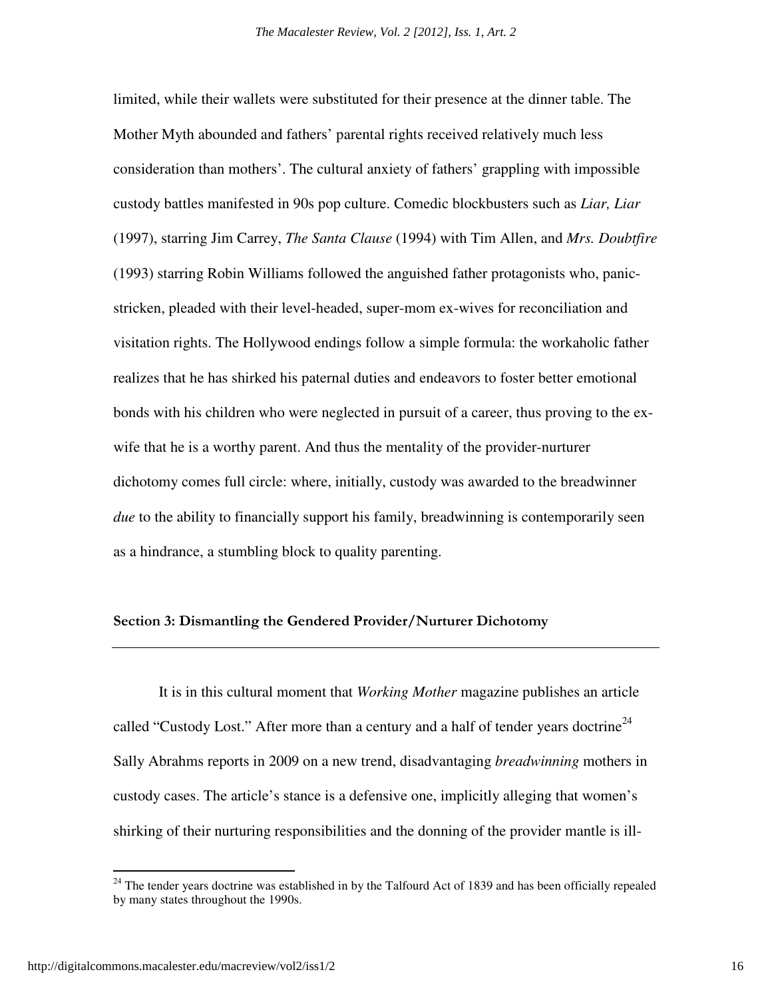limited, while their wallets were substituted for their presence at the dinner table. The Mother Myth abounded and fathers' parental rights received relatively much less consideration than mothers'. The cultural anxiety of fathers' grappling with impossible custody battles manifested in 90s pop culture. Comedic blockbusters such as *Liar, Liar*  (1997), starring Jim Carrey, *The Santa Clause* (1994) with Tim Allen, and *Mrs. Doubtfire* (1993) starring Robin Williams followed the anguished father protagonists who, panicstricken, pleaded with their level-headed, super-mom ex-wives for reconciliation and visitation rights. The Hollywood endings follow a simple formula: the workaholic father realizes that he has shirked his paternal duties and endeavors to foster better emotional bonds with his children who were neglected in pursuit of a career, thus proving to the exwife that he is a worthy parent. And thus the mentality of the provider-nurturer dichotomy comes full circle: where, initially, custody was awarded to the breadwinner *due* to the ability to financially support his family, breadwinning is contemporarily seen as a hindrance, a stumbling block to quality parenting.

#### Section 3: Dismantling the Gendered Provider/Nurturer Dichotomy

 It is in this cultural moment that *Working Mother* magazine publishes an article called "Custody Lost." After more than a century and a half of tender years doctrine<sup>24</sup> Sally Abrahms reports in 2009 on a new trend, disadvantaging *breadwinning* mothers in custody cases. The article's stance is a defensive one, implicitly alleging that women's shirking of their nurturing responsibilities and the donning of the provider mantle is ill-

-

<sup>&</sup>lt;sup>24</sup> The tender years doctrine was established in by the Talfourd Act of 1839 and has been officially repealed by many states throughout the 1990s.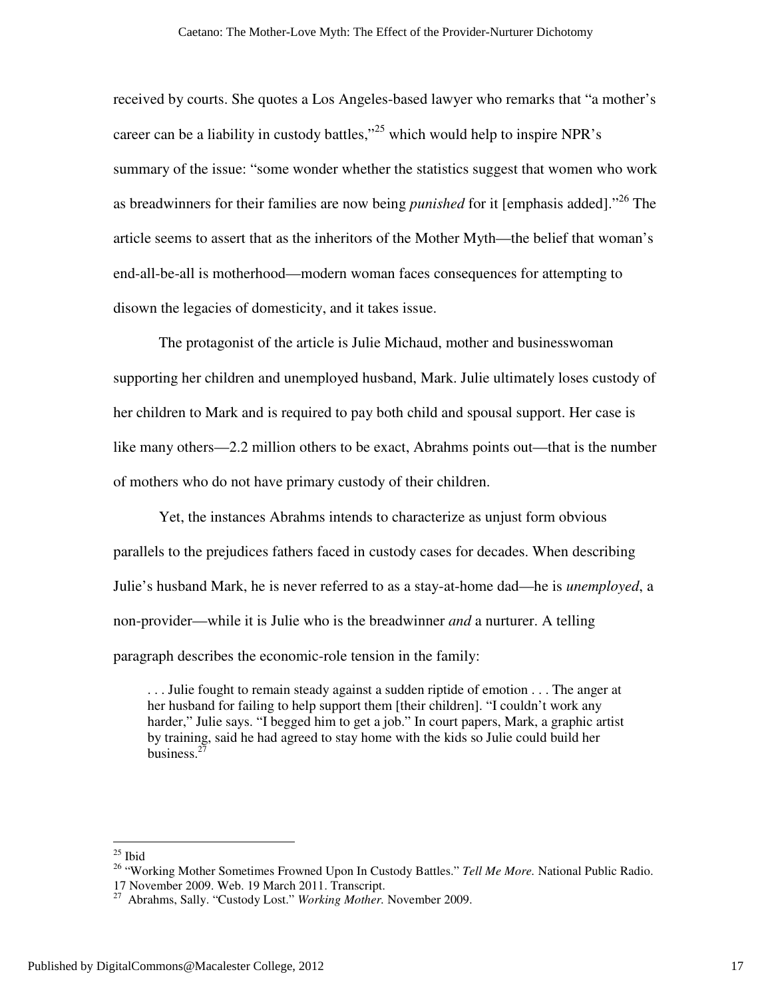received by courts. She quotes a Los Angeles-based lawyer who remarks that "a mother's career can be a liability in custody battles,"<sup>25</sup> which would help to inspire NPR's summary of the issue: "some wonder whether the statistics suggest that women who work as breadwinners for their families are now being *punished* for it [emphasis added]."<sup>26</sup> The article seems to assert that as the inheritors of the Mother Myth—the belief that woman's end-all-be-all is motherhood—modern woman faces consequences for attempting to disown the legacies of domesticity, and it takes issue.

 The protagonist of the article is Julie Michaud, mother and businesswoman supporting her children and unemployed husband, Mark. Julie ultimately loses custody of her children to Mark and is required to pay both child and spousal support. Her case is like many others—2.2 million others to be exact, Abrahms points out—that is the number of mothers who do not have primary custody of their children.

 Yet, the instances Abrahms intends to characterize as unjust form obvious parallels to the prejudices fathers faced in custody cases for decades. When describing Julie's husband Mark, he is never referred to as a stay-at-home dad—he is *unemployed*, a non-provider—while it is Julie who is the breadwinner *and* a nurturer. A telling paragraph describes the economic-role tension in the family:

. . . Julie fought to remain steady against a sudden riptide of emotion . . . The anger at her husband for failing to help support them [their children]. "I couldn't work any harder," Julie says. "I begged him to get a job." In court papers, Mark, a graphic artist by training, said he had agreed to stay home with the kids so Julie could build her business.<sup>27</sup>

-

 $25$  Ibid

<sup>26</sup> "Working Mother Sometimes Frowned Upon In Custody Battles." *Tell Me More.* National Public Radio. 17 November 2009. Web. 19 March 2011. Transcript.

<sup>27</sup> Abrahms, Sally. "Custody Lost." *Working Mother.* November 2009.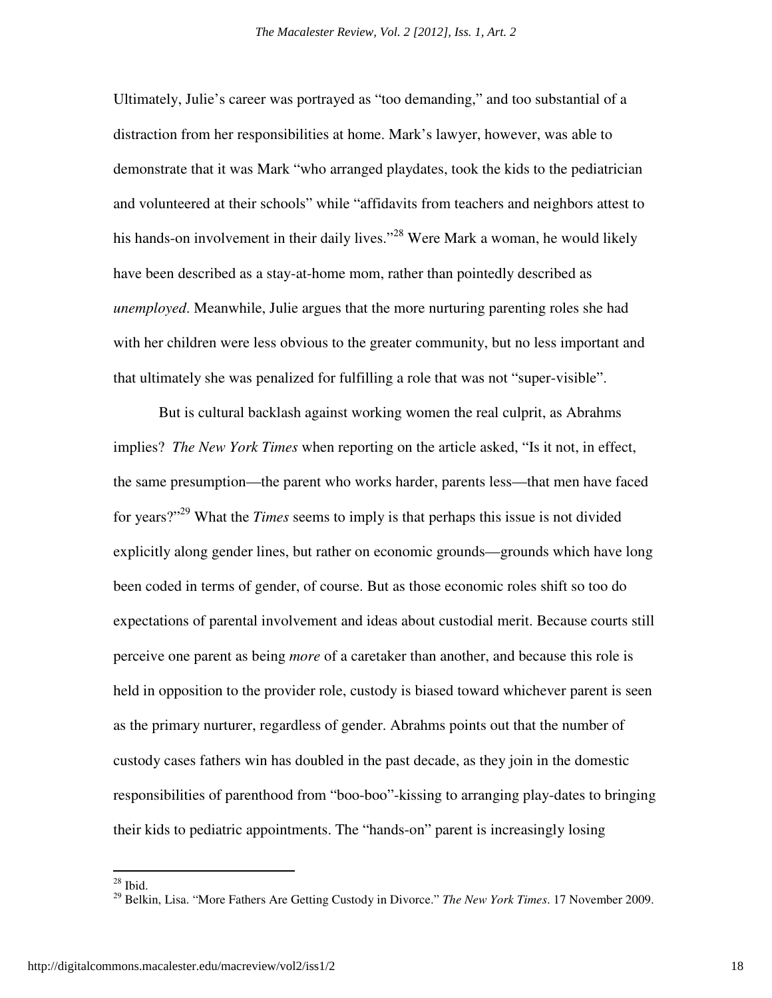Ultimately, Julie's career was portrayed as "too demanding," and too substantial of a distraction from her responsibilities at home. Mark's lawyer, however, was able to demonstrate that it was Mark "who arranged playdates, took the kids to the pediatrician and volunteered at their schools" while "affidavits from teachers and neighbors attest to his hands-on involvement in their daily lives."<sup>28</sup> Were Mark a woman, he would likely have been described as a stay-at-home mom, rather than pointedly described as *unemployed*. Meanwhile, Julie argues that the more nurturing parenting roles she had with her children were less obvious to the greater community, but no less important and that ultimately she was penalized for fulfilling a role that was not "super-visible".

But is cultural backlash against working women the real culprit, as Abrahms implies? *The New York Times* when reporting on the article asked, "Is it not, in effect, the same presumption—the parent who works harder, parents less—that men have faced for years?"<sup>29</sup> What the *Times* seems to imply is that perhaps this issue is not divided explicitly along gender lines, but rather on economic grounds—grounds which have long been coded in terms of gender, of course. But as those economic roles shift so too do expectations of parental involvement and ideas about custodial merit. Because courts still perceive one parent as being *more* of a caretaker than another, and because this role is held in opposition to the provider role, custody is biased toward whichever parent is seen as the primary nurturer, regardless of gender. Abrahms points out that the number of custody cases fathers win has doubled in the past decade, as they join in the domestic responsibilities of parenthood from "boo-boo"-kissing to arranging play-dates to bringing their kids to pediatric appointments. The "hands-on" parent is increasingly losing

 $^{28}$  Ibid.

<sup>29</sup> Belkin, Lisa. "More Fathers Are Getting Custody in Divorce." *The New York Times*. 17 November 2009.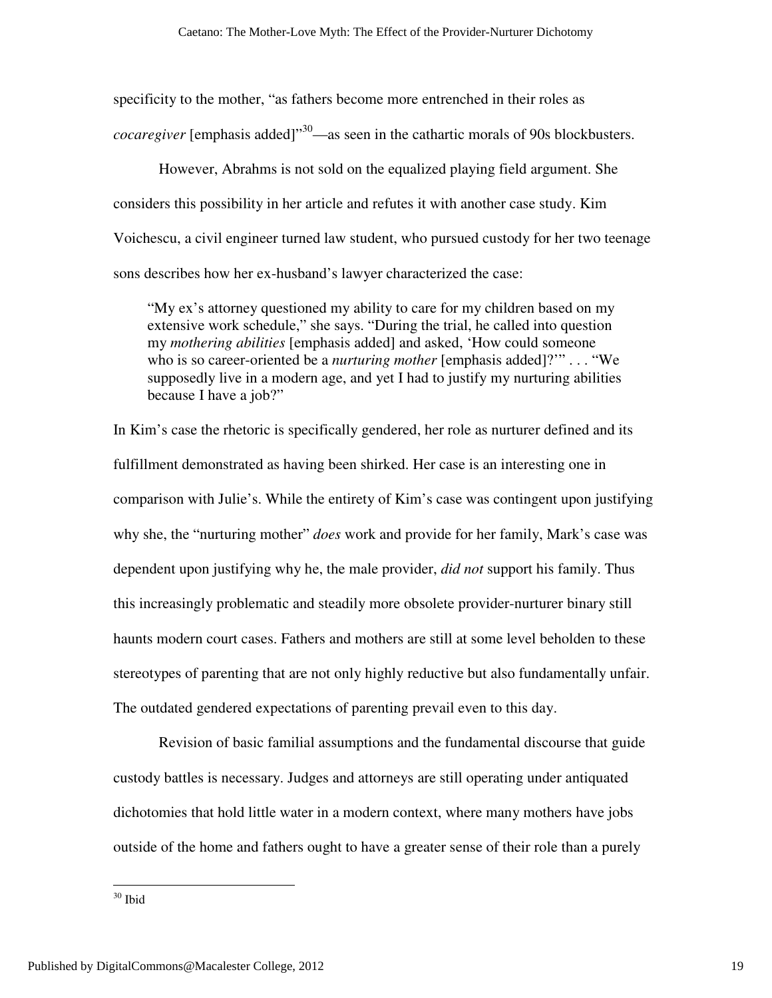specificity to the mother, "as fathers become more entrenched in their roles as *cocaregiver* [emphasis added]<sup>"30</sup>—as seen in the cathartic morals of 90s blockbusters.

However, Abrahms is not sold on the equalized playing field argument. She considers this possibility in her article and refutes it with another case study. Kim Voichescu, a civil engineer turned law student, who pursued custody for her two teenage sons describes how her ex-husband's lawyer characterized the case:

"My ex's attorney questioned my ability to care for my children based on my extensive work schedule," she says. "During the trial, he called into question my *mothering abilities* [emphasis added] and asked, 'How could someone who is so career-oriented be a *nurturing mother* [emphasis added]?'" . . . "We supposedly live in a modern age, and yet I had to justify my nurturing abilities because I have a job?"

In Kim's case the rhetoric is specifically gendered, her role as nurturer defined and its fulfillment demonstrated as having been shirked. Her case is an interesting one in comparison with Julie's. While the entirety of Kim's case was contingent upon justifying why she, the "nurturing mother" *does* work and provide for her family, Mark's case was dependent upon justifying why he, the male provider, *did not* support his family. Thus this increasingly problematic and steadily more obsolete provider-nurturer binary still haunts modern court cases. Fathers and mothers are still at some level beholden to these stereotypes of parenting that are not only highly reductive but also fundamentally unfair. The outdated gendered expectations of parenting prevail even to this day.

 Revision of basic familial assumptions and the fundamental discourse that guide custody battles is necessary. Judges and attorneys are still operating under antiquated dichotomies that hold little water in a modern context, where many mothers have jobs outside of the home and fathers ought to have a greater sense of their role than a purely

<sup>30</sup> Ibid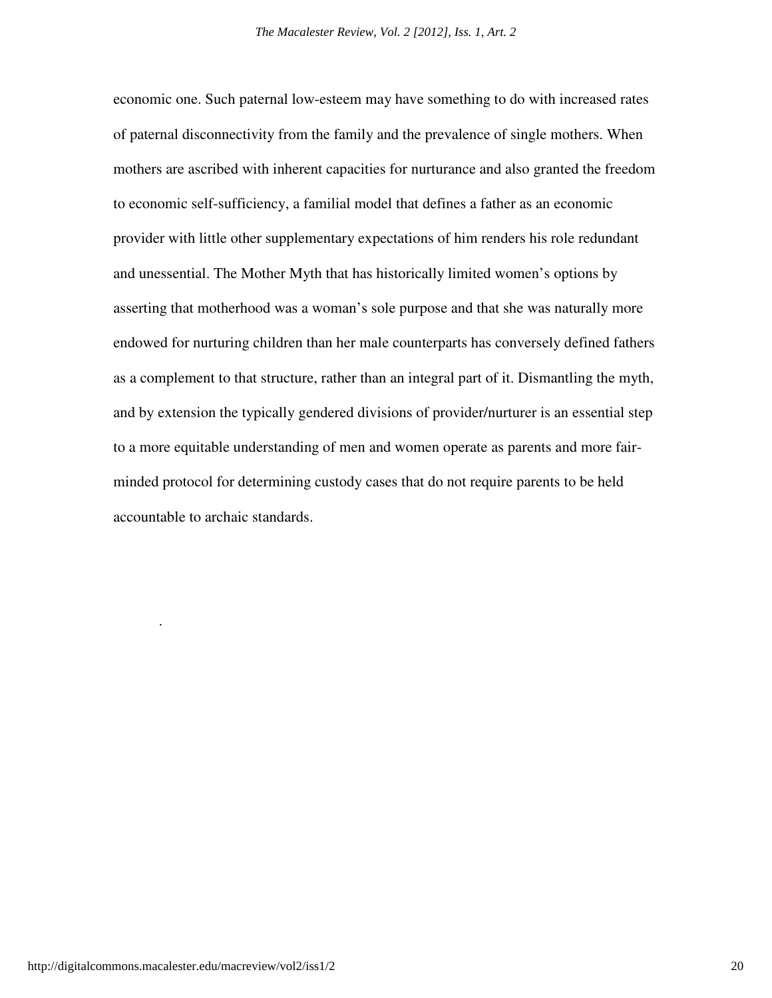economic one. Such paternal low-esteem may have something to do with increased rates of paternal disconnectivity from the family and the prevalence of single mothers. When mothers are ascribed with inherent capacities for nurturance and also granted the freedom to economic self-sufficiency, a familial model that defines a father as an economic provider with little other supplementary expectations of him renders his role redundant and unessential. The Mother Myth that has historically limited women's options by asserting that motherhood was a woman's sole purpose and that she was naturally more endowed for nurturing children than her male counterparts has conversely defined fathers as a complement to that structure, rather than an integral part of it. Dismantling the myth, and by extension the typically gendered divisions of provider/nurturer is an essential step to a more equitable understanding of men and women operate as parents and more fairminded protocol for determining custody cases that do not require parents to be held accountable to archaic standards.

.